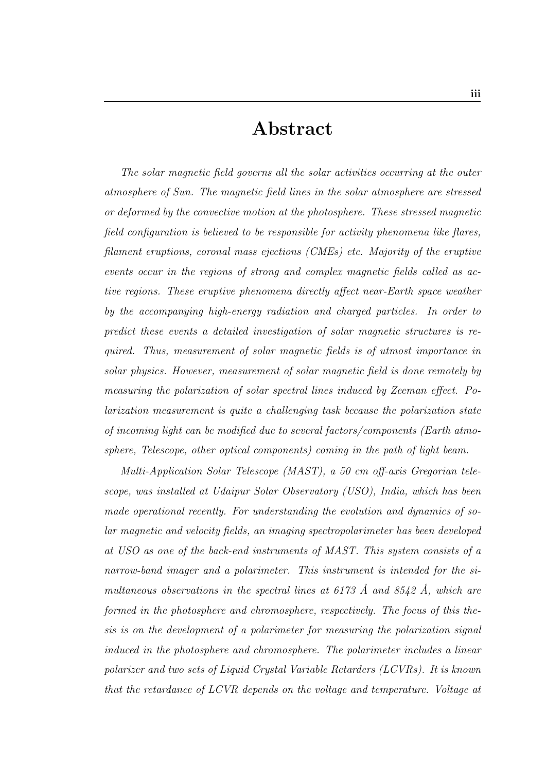## Abstract

The solar magnetic field governs all the solar activities occurring at the outer atmosphere of Sun. The magnetic field lines in the solar atmosphere are stressed or deformed by the convective motion at the photosphere. These stressed magnetic field configuration is believed to be responsible for activity phenomena like flares, filament eruptions, coronal mass ejections (CMEs) etc. Majority of the eruptive events occur in the regions of strong and complex magnetic fields called as active regions. These eruptive phenomena directly affect near-Earth space weather by the accompanying high-energy radiation and charged particles. In order to predict these events a detailed investigation of solar magnetic structures is required. Thus, measurement of solar magnetic fields is of utmost importance in solar physics. However, measurement of solar magnetic field is done remotely by measuring the polarization of solar spectral lines induced by Zeeman effect. Polarization measurement is quite a challenging task because the polarization state of incoming light can be modified due to several factors/components (Earth atmosphere, Telescope, other optical components) coming in the path of light beam.

Multi-Application Solar Telescope (MAST), a 50 cm off-axis Gregorian telescope, was installed at Udaipur Solar Observatory (USO), India, which has been made operational recently. For understanding the evolution and dynamics of solar magnetic and velocity fields, an imaging spectropolarimeter has been developed at USO as one of the back-end instruments of MAST. This system consists of a narrow-band imager and a polarimeter. This instrument is intended for the simultaneous observations in the spectral lines at  $6173$  Å and  $8542$  Å, which are formed in the photosphere and chromosphere, respectively. The focus of this thesis is on the development of a polarimeter for measuring the polarization signal induced in the photosphere and chromosphere. The polarimeter includes a linear polarizer and two sets of Liquid Crystal Variable Retarders (LCVRs). It is known that the retardance of LCVR depends on the voltage and temperature. Voltage at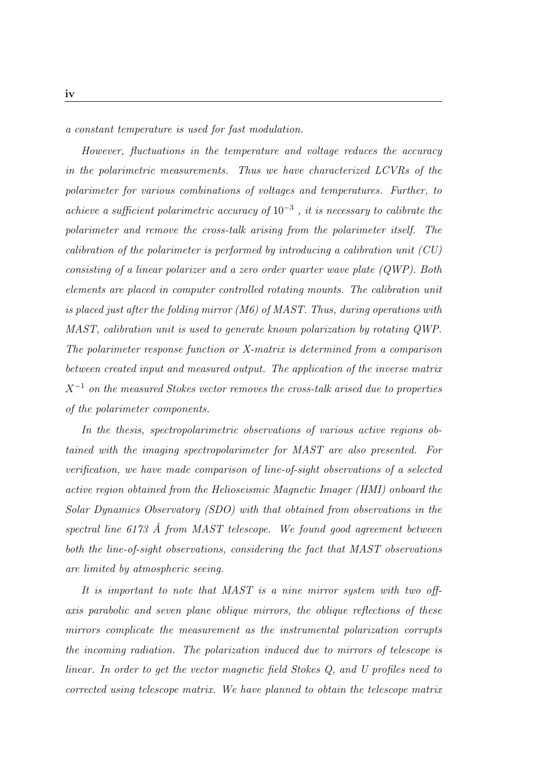a constant temperature is used for fast modulation.

However, fluctuations in the temperature and voltage reduces the accuracy in the polarimetric measurements. Thus we have characterized LCVRs of the polarimeter for various combinations of voltages and temperatures. Further, to achieve a sufficient polarimetric accuracy of  $10^{-3}$ , it is necessary to calibrate the polarimeter and remove the cross-talk arising from the polarimeter itself. The calibration of the polarimeter is performed by introducing a calibration unit (CU) consisting of a linear polarizer and a zero order quarter wave plate (QWP). Both elements are placed in computer controlled rotating mounts. The calibration unit is placed just after the folding mirror (M6) of MAST. Thus, during operations with MAST, calibration unit is used to generate known polarization by rotating QWP. The polarimeter response function or X-matrix is determined from a comparison between created input and measured output. The application of the inverse matrix  $X^{-1}$  on the measured Stokes vector removes the cross-talk arised due to properties of the polarimeter components.

In the thesis, spectropolarimetric observations of various active regions obtained with the imaging spectropolarimeter for MAST are also presented. For verification, we have made comparison of line-of-sight observations of a selected active region obtained from the Helioseismic Magnetic Imager (HMI) onboard the Solar Dynamics Observatory (SDO) with that obtained from observations in the spectral line  $6173$  Å from MAST telescope. We found good agreement between both the line-of-sight observations, considering the fact that MAST observations are limited by atmospheric seeing.

It is important to note that MAST is a nine mirror system with two offaxis parabolic and seven plane oblique mirrors, the oblique reflections of these mirrors complicate the measurement as the instrumental polarization corrupts the incoming radiation. The polarization induced due to mirrors of telescope is linear. In order to get the vector magnetic field Stokes Q, and U profiles need to corrected using telescope matrix. We have planned to obtain the telescope matrix